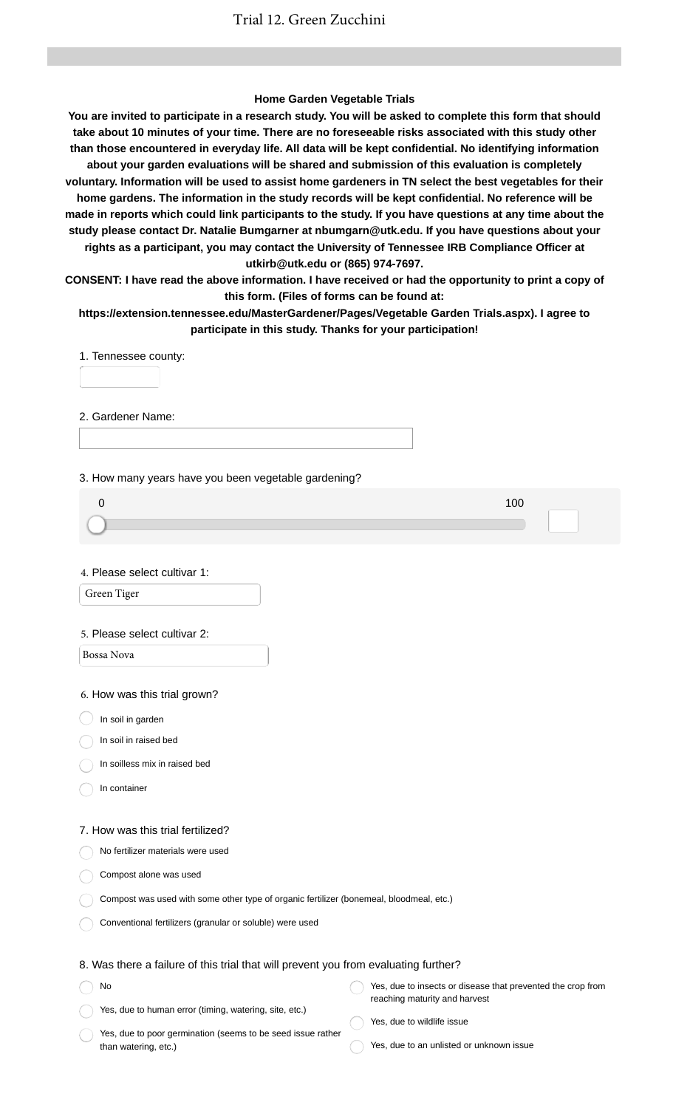### **Home Garden Vegetable Trials**

**You are invited to participate in a research study. You will be asked to complete this form that should take about 10 minutes of your time. There are no foreseeable risks associated with this study other than those encountered in everyday life. All data will be kept confidential. No identifying information about your garden evaluations will be shared and submission of this evaluation is completely voluntary. Information will be used to assist home gardeners in TN select the best vegetables for their home gardens. The information in the study records will be kept confidential. No reference will be made in reports which could link participants to the study. If you have questions at any time about the study please contact Dr. Natalie Bumgarner at nbumgarn@utk.edu. If you have questions about your rights as a participant, you may contact the University of Tennessee IRB Compliance Officer at utkirb@utk.edu or (865) 974-7697.**

**CONSENT: I have read the above information. I have received or had the opportunity to print a copy of this form. (Files of forms can be found at:**

**https://extension.tennessee.edu/MasterGardener/Pages/Vegetable Garden Trials.aspx). I agree to participate in this study. Thanks for your participation!**

1. Tennessee county:

2. Gardener Name:

3. How many years have you been vegetable gardening?

| 10 <sub>C</sub> |  |
|-----------------|--|
|                 |  |
|                 |  |
|                 |  |

4. Please select cultivar 1:

Green Tiger

#### 5. Please select cultivar 2:

Bossa Nova

6. How was this trial grown?

 $\big)$  In soil in garden

In soil in raised bed

In soilless mix in raised bed

In container

#### 7. How was this trial fertilized?

No fertilizer materials were used

Compost alone was used

| Compost was used with some other type of organic fertilizer (bonemeal, bloodmeal, etc.) |  |  |
|-----------------------------------------------------------------------------------------|--|--|
|                                                                                         |  |  |

Conventional fertilizers (granular or soluble) were used

### 8. Was there a failure of this trial that will prevent you from evaluating further?

| No                                                     | Yes, due to insects or disease that prevented the crop from |
|--------------------------------------------------------|-------------------------------------------------------------|
|                                                        | reaching maturity and harvest                               |
| Yes, due to human error (timing, watering, site, etc.) | $\cdots$                                                    |

Yes, due to poor germination (seems to be seed issue rather than watering, etc.)

- Yes, due to wildlife issue
	- Yes, due to an unlisted or unknown issue